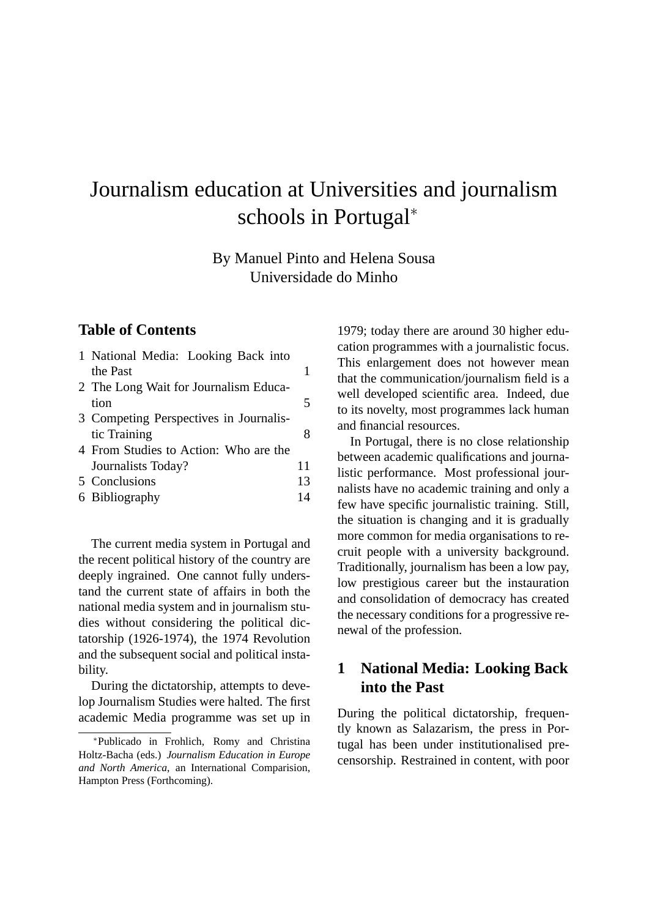# Journalism education at Universities and journalism schools in Portugal<sup>∗</sup>

By Manuel Pinto and Helena Sousa Universidade do Minho

### **Table of Contents**

| 1 National Media: Looking Back into    |    |
|----------------------------------------|----|
| the Past                               | 1  |
| 2 The Long Wait for Journalism Educa-  |    |
| tion                                   | 5  |
| 3 Competing Perspectives in Journalis- |    |
| tic Training                           | 8  |
| 4 From Studies to Action: Who are the  |    |
| Journalists Today?                     | 11 |
| 5 Conclusions                          | 13 |
| 6 Bibliography                         | 14 |

The current media system in Portugal and the recent political history of the country are deeply ingrained. One cannot fully understand the current state of affairs in both the national media system and in journalism studies without considering the political dictatorship (1926-1974), the 1974 Revolution and the subsequent social and political instability.

During the dictatorship, attempts to develop Journalism Studies were halted. The first academic Media programme was set up in 1979; today there are around 30 higher education programmes with a journalistic focus. This enlargement does not however mean that the communication/journalism field is a well developed scientific area. Indeed, due to its novelty, most programmes lack human and financial resources.

In Portugal, there is no close relationship between academic qualifications and journalistic performance. Most professional journalists have no academic training and only a few have specific journalistic training. Still, the situation is changing and it is gradually more common for media organisations to recruit people with a university background. Traditionally, journalism has been a low pay, low prestigious career but the instauration and consolidation of democracy has created the necessary conditions for a progressive renewal of the profession.

#### <span id="page-0-0"></span>**1 National Media: Looking Back into the Past**

During the political dictatorship, frequently known as Salazarism, the press in Portugal has been under institutionalised precensorship. Restrained in content, with poor

<sup>∗</sup>Publicado in Frohlich, Romy and Christina Holtz-Bacha (eds.) *Journalism Education in Europe and North America*, an International Comparision, Hampton Press (Forthcoming).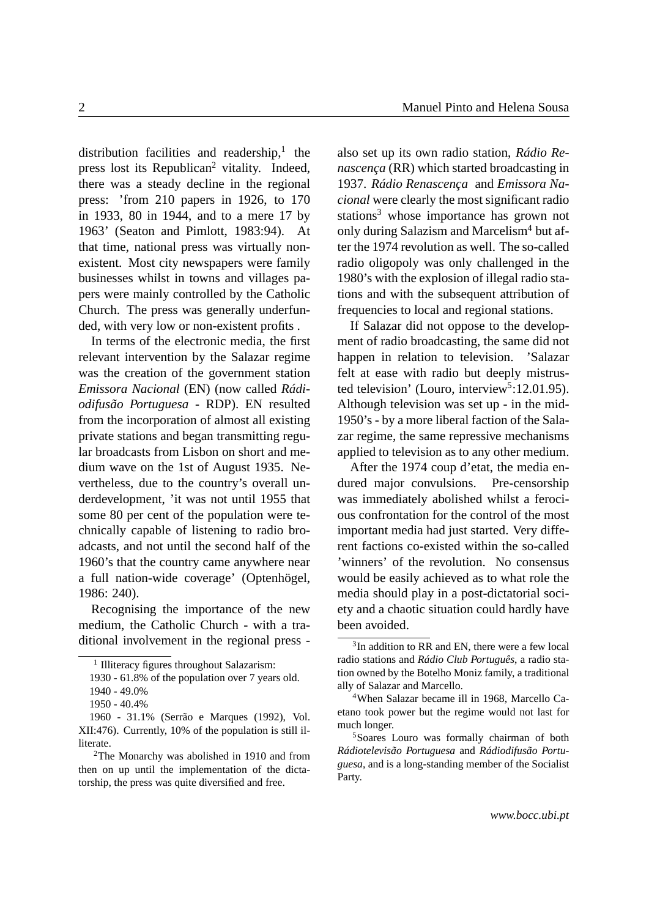distribution facilities and readership, $<sup>1</sup>$  $<sup>1</sup>$  $<sup>1</sup>$  the</sup> press lost its Republican<sup>[2](#page-1-1)</sup> vitality. Indeed, there was a steady decline in the regional press: 'from 210 papers in 1926, to 170 in 1933, 80 in 1944, and to a mere 17 by 1963' (Seaton and Pimlott, 1983:94). At that time, national press was virtually nonexistent. Most city newspapers were family businesses whilst in towns and villages papers were mainly controlled by the Catholic Church. The press was generally underfunded, with very low or non-existent profits .

In terms of the electronic media, the first relevant intervention by the Salazar regime was the creation of the government station *Emissora Nacional* (EN) (now called *Rádiodifusão Portuguesa* - RDP). EN resulted from the incorporation of almost all existing private stations and began transmitting regular broadcasts from Lisbon on short and medium wave on the 1st of August 1935. Nevertheless, due to the country's overall underdevelopment, 'it was not until 1955 that some 80 per cent of the population were technically capable of listening to radio broadcasts, and not until the second half of the 1960's that the country came anywhere near a full nation-wide coverage' (Optenhögel, 1986: 240).

Recognising the importance of the new medium, the Catholic Church - with a traditional involvement in the regional press - also set up its own radio station, *Rádio Renascença* (RR) which started broadcasting in 1937. *Rádio Renascença* and *Emissora Nacional* were clearly the most significant radio stations<sup>[3](#page-1-2)</sup> whose importance has grown not only during Salazism and Marcelism<sup>[4](#page-1-3)</sup> but after the 1974 revolution as well. The so-called radio oligopoly was only challenged in the 1980's with the explosion of illegal radio stations and with the subsequent attribution of frequencies to local and regional stations.

If Salazar did not oppose to the development of radio broadcasting, the same did not happen in relation to television. 'Salazar felt at ease with radio but deeply mistrus-ted television' (Louro, interview<sup>[5](#page-1-4)</sup>:12.01.95). Although television was set up - in the mid-1950's - by a more liberal faction of the Salazar regime, the same repressive mechanisms applied to television as to any other medium.

After the 1974 coup d'etat, the media endured major convulsions. Pre-censorship was immediately abolished whilst a ferocious confrontation for the control of the most important media had just started. Very different factions co-existed within the so-called 'winners' of the revolution. No consensus would be easily achieved as to what role the media should play in a post-dictatorial society and a chaotic situation could hardly have been avoided.

<span id="page-1-0"></span><sup>&</sup>lt;sup>1</sup> Illiteracy figures throughout Salazarism:

<sup>1930 - 61.8%</sup> of the population over 7 years old.

<sup>1940 - 49.0%</sup>

<sup>1950 - 40.4%</sup>

<sup>1960 - 31.1% (</sup>Serrão e Marques (1992), Vol. XII:476). Currently, 10% of the population is still illiterate.

<span id="page-1-1"></span><sup>2</sup>The Monarchy was abolished in 1910 and from then on up until the implementation of the dictatorship, the press was quite diversified and free.

<span id="page-1-2"></span><sup>&</sup>lt;sup>3</sup>In addition to RR and EN, there were a few local radio stations and *Rádio Club Português*, a radio station owned by the Botelho Moniz family, a traditional ally of Salazar and Marcello.

<span id="page-1-3"></span><sup>4</sup>When Salazar became ill in 1968, Marcello Caetano took power but the regime would not last for much longer.

<span id="page-1-4"></span><sup>5</sup>Soares Louro was formally chairman of both *Rádiotelevisão Portuguesa* and *Rádiodifusão Portuguesa*, and is a long-standing member of the Socialist Party.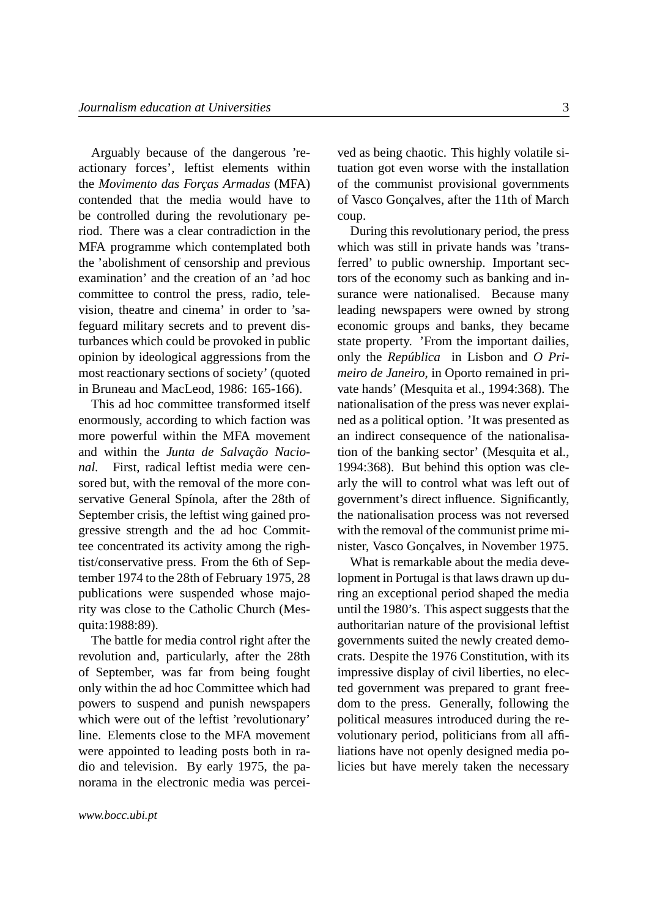Arguably because of the dangerous 'reactionary forces', leftist elements within the *Movimento das Forças Armadas* (MFA) contended that the media would have to be controlled during the revolutionary period. There was a clear contradiction in the MFA programme which contemplated both the 'abolishment of censorship and previous examination' and the creation of an 'ad hoc committee to control the press, radio, television, theatre and cinema' in order to 'safeguard military secrets and to prevent disturbances which could be provoked in public opinion by ideological aggressions from the most reactionary sections of society' (quoted in Bruneau and MacLeod, 1986: 165-166).

This ad hoc committee transformed itself enormously, according to which faction was more powerful within the MFA movement and within the *Junta de Salvação Nacional.* First, radical leftist media were censored but, with the removal of the more conservative General Spínola, after the 28th of September crisis, the leftist wing gained progressive strength and the ad hoc Committee concentrated its activity among the rightist/conservative press. From the 6th of September 1974 to the 28th of February 1975, 28 publications were suspended whose majority was close to the Catholic Church (Mesquita:1988:89).

The battle for media control right after the revolution and, particularly, after the 28th of September, was far from being fought only within the ad hoc Committee which had powers to suspend and punish newspapers which were out of the leftist 'revolutionary' line. Elements close to the MFA movement were appointed to leading posts both in radio and television. By early 1975, the panorama in the electronic media was percei-

*www.bocc.ubi.pt*

ved as being chaotic. This highly volatile situation got even worse with the installation of the communist provisional governments of Vasco Gonçalves, after the 11th of March coup.

During this revolutionary period, the press which was still in private hands was 'transferred' to public ownership. Important sectors of the economy such as banking and insurance were nationalised. Because many leading newspapers were owned by strong economic groups and banks, they became state property. 'From the important dailies, only the *República* in Lisbon and *O Primeiro de Janeiro*, in Oporto remained in private hands' (Mesquita et al., 1994:368). The nationalisation of the press was never explained as a political option. 'It was presented as an indirect consequence of the nationalisation of the banking sector' (Mesquita et al., 1994:368). But behind this option was clearly the will to control what was left out of government's direct influence. Significantly, the nationalisation process was not reversed with the removal of the communist prime minister, Vasco Gonçalves, in November 1975.

What is remarkable about the media development in Portugal is that laws drawn up during an exceptional period shaped the media until the 1980's. This aspect suggests that the authoritarian nature of the provisional leftist governments suited the newly created democrats. Despite the 1976 Constitution, with its impressive display of civil liberties, no elected government was prepared to grant freedom to the press. Generally, following the political measures introduced during the revolutionary period, politicians from all affiliations have not openly designed media policies but have merely taken the necessary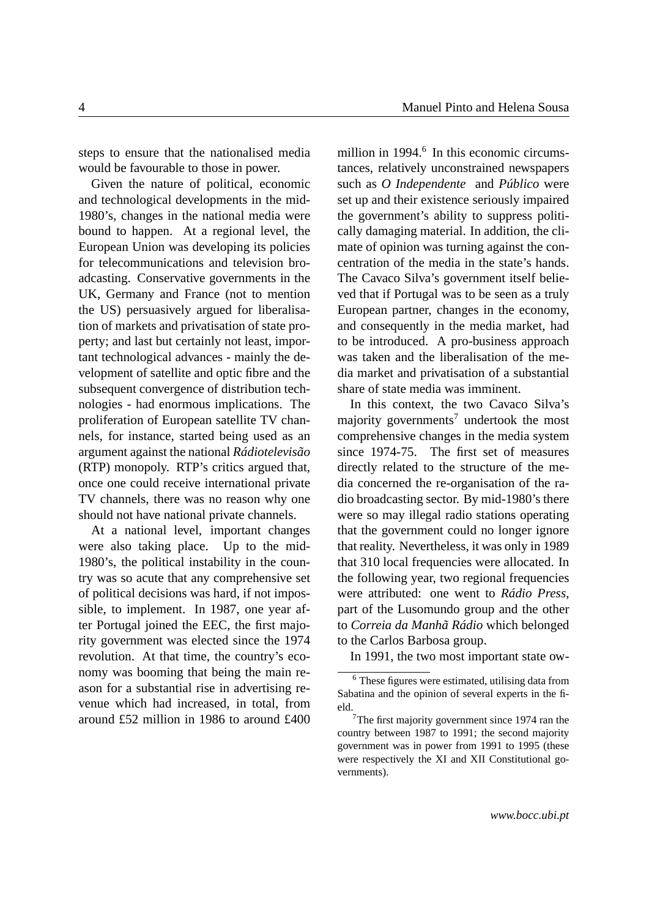steps to ensure that the nationalised media would be favourable to those in power.

Given the nature of political, economic and technological developments in the mid-1980's, changes in the national media were bound to happen. At a regional level, the European Union was developing its policies for telecommunications and television broadcasting. Conservative governments in the UK, Germany and France (not to mention the US) persuasively argued for liberalisation of markets and privatisation of state property; and last but certainly not least, important technological advances - mainly the development of satellite and optic fibre and the subsequent convergence of distribution technologies - had enormous implications. The proliferation of European satellite TV channels, for instance, started being used as an argument against the national *Rádiotelevisão* (RTP) monopoly. RTP's critics argued that, once one could receive international private TV channels, there was no reason why one should not have national private channels.

At a national level, important changes were also taking place. Up to the mid-1980's, the political instability in the country was so acute that any comprehensive set of political decisions was hard, if not impossible, to implement. In 1987, one year after Portugal joined the EEC, the first majority government was elected since the 1974 revolution. At that time, the country's economy was booming that being the main reason for a substantial rise in advertising revenue which had increased, in total, from around £52 million in 1986 to around £400

million in 1994.<sup>[6](#page-3-0)</sup> In this economic circumstances, relatively unconstrained newspapers such as *O Independente* and *Público* were set up and their existence seriously impaired the government's ability to suppress politically damaging material. In addition, the climate of opinion was turning against the concentration of the media in the state's hands. The Cavaco Silva's government itself believed that if Portugal was to be seen as a truly European partner, changes in the economy, and consequently in the media market, had to be introduced. A pro-business approach was taken and the liberalisation of the media market and privatisation of a substantial share of state media was imminent.

In this context, the two Cavaco Silva's majority governments<sup>[7](#page-3-1)</sup> undertook the most comprehensive changes in the media system since 1974-75. The first set of measures directly related to the structure of the media concerned the re-organisation of the radio broadcasting sector. By mid-1980's there were so may illegal radio stations operating that the government could no longer ignore that reality. Nevertheless, it was only in 1989 that 310 local frequencies were allocated. In the following year, two regional frequencies were attributed: one went to *Rádio Press*, part of the Lusomundo group and the other to *Correia da Manhã Rádio* which belonged to the Carlos Barbosa group.

In 1991, the two most important state ow-

<span id="page-3-0"></span> $6$  These figures were estimated, utilising data from Sabatina and the opinion of several experts in the field.

<span id="page-3-1"></span><sup>7</sup>The first majority government since 1974 ran the country between 1987 to 1991; the second majority government was in power from 1991 to 1995 (these were respectively the XI and XII Constitutional governments).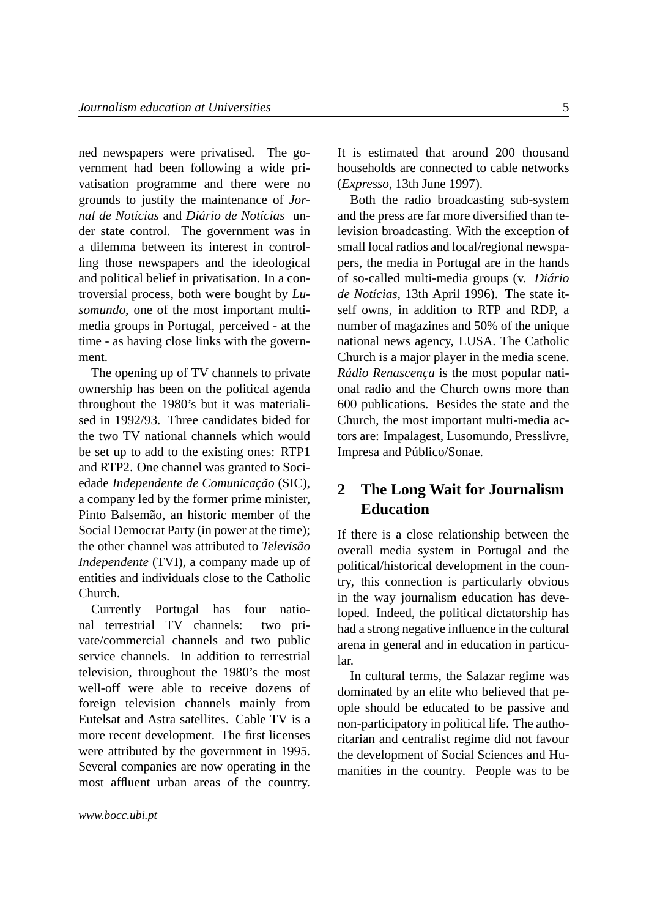ned newspapers were privatised. The government had been following a wide privatisation programme and there were no grounds to justify the maintenance of *Jornal de Notícias* and *Diário de Notícias* under state control. The government was in a dilemma between its interest in controlling those newspapers and the ideological and political belief in privatisation. In a controversial process, both were bought by *Lusomundo*, one of the most important multimedia groups in Portugal, perceived - at the time - as having close links with the government.

The opening up of TV channels to private ownership has been on the political agenda throughout the 1980's but it was materialised in 1992/93. Three candidates bided for the two TV national channels which would be set up to add to the existing ones: RTP1 and RTP2. One channel was granted to Sociedade *Independente de Comunicação* (SIC), a company led by the former prime minister, Pinto Balsemão, an historic member of the Social Democrat Party (in power at the time); the other channel was attributed to *Televisão Independente* (TVI), a company made up of entities and individuals close to the Catholic Church.

Currently Portugal has four national terrestrial TV channels: two private/commercial channels and two public service channels. In addition to terrestrial television, throughout the 1980's the most well-off were able to receive dozens of foreign television channels mainly from Eutelsat and Astra satellites. Cable TV is a more recent development. The first licenses were attributed by the government in 1995. Several companies are now operating in the most affluent urban areas of the country. It is estimated that around 200 thousand households are connected to cable networks (*Expresso*, 13th June 1997).

Both the radio broadcasting sub-system and the press are far more diversified than television broadcasting. With the exception of small local radios and local/regional newspapers, the media in Portugal are in the hands of so-called multi-media groups (v. *Diário de Notícias,* 13th April 1996). The state itself owns, in addition to RTP and RDP, a number of magazines and 50% of the unique national news agency, LUSA. The Catholic Church is a major player in the media scene. *Rádio Renascença* is the most popular national radio and the Church owns more than 600 publications. Besides the state and the Church, the most important multi-media actors are: Impalagest, Lusomundo, Presslivre, Impresa and Público/Sonae.

## <span id="page-4-0"></span>**2 The Long Wait for Journalism Education**

If there is a close relationship between the overall media system in Portugal and the political/historical development in the country, this connection is particularly obvious in the way journalism education has developed. Indeed, the political dictatorship has had a strong negative influence in the cultural arena in general and in education in particular.

In cultural terms, the Salazar regime was dominated by an elite who believed that people should be educated to be passive and non-participatory in political life. The authoritarian and centralist regime did not favour the development of Social Sciences and Humanities in the country. People was to be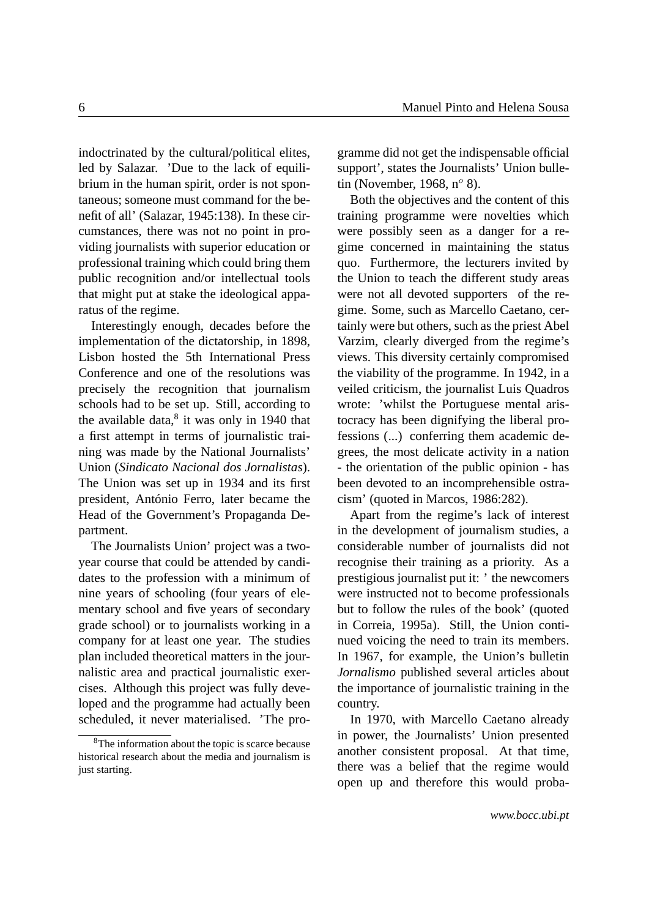indoctrinated by the cultural/political elites, led by Salazar. 'Due to the lack of equilibrium in the human spirit, order is not spontaneous; someone must command for the benefit of all' (Salazar, 1945:138). In these circumstances, there was not no point in providing journalists with superior education or professional training which could bring them public recognition and/or intellectual tools that might put at stake the ideological apparatus of the regime.

Interestingly enough, decades before the implementation of the dictatorship, in 1898, Lisbon hosted the 5th International Press Conference and one of the resolutions was precisely the recognition that journalism schools had to be set up. Still, according to the available data, $8$  it was only in 1940 that a first attempt in terms of journalistic training was made by the National Journalists' Union (*Sindicato Nacional dos Jornalistas*). The Union was set up in 1934 and its first president, António Ferro, later became the Head of the Government's Propaganda Department.

The Journalists Union' project was a twoyear course that could be attended by candidates to the profession with a minimum of nine years of schooling (four years of elementary school and five years of secondary grade school) or to journalists working in a company for at least one year. The studies plan included theoretical matters in the journalistic area and practical journalistic exercises. Although this project was fully developed and the programme had actually been scheduled, it never materialised. 'The programme did not get the indispensable official support', states the Journalists' Union bulletin (November, 1968,  $n^{\circ}$  8).

Both the objectives and the content of this training programme were novelties which were possibly seen as a danger for a regime concerned in maintaining the status quo. Furthermore, the lecturers invited by the Union to teach the different study areas were not all devoted supporters of the regime. Some, such as Marcello Caetano, certainly were but others, such as the priest Abel Varzim, clearly diverged from the regime's views. This diversity certainly compromised the viability of the programme. In 1942, in a veiled criticism, the journalist Luis Quadros wrote: 'whilst the Portuguese mental aristocracy has been dignifying the liberal professions (...) conferring them academic degrees, the most delicate activity in a nation - the orientation of the public opinion - has been devoted to an incomprehensible ostracism' (quoted in Marcos, 1986:282).

Apart from the regime's lack of interest in the development of journalism studies, a considerable number of journalists did not recognise their training as a priority. As a prestigious journalist put it: ' the newcomers were instructed not to become professionals but to follow the rules of the book' (quoted in Correia, 1995a). Still, the Union continued voicing the need to train its members. In 1967, for example, the Union's bulletin *Jornalismo* published several articles about the importance of journalistic training in the country.

In 1970, with Marcello Caetano already in power, the Journalists' Union presented another consistent proposal. At that time, there was a belief that the regime would open up and therefore this would proba-

<span id="page-5-0"></span><sup>&</sup>lt;sup>8</sup>The information about the topic is scarce because historical research about the media and journalism is just starting.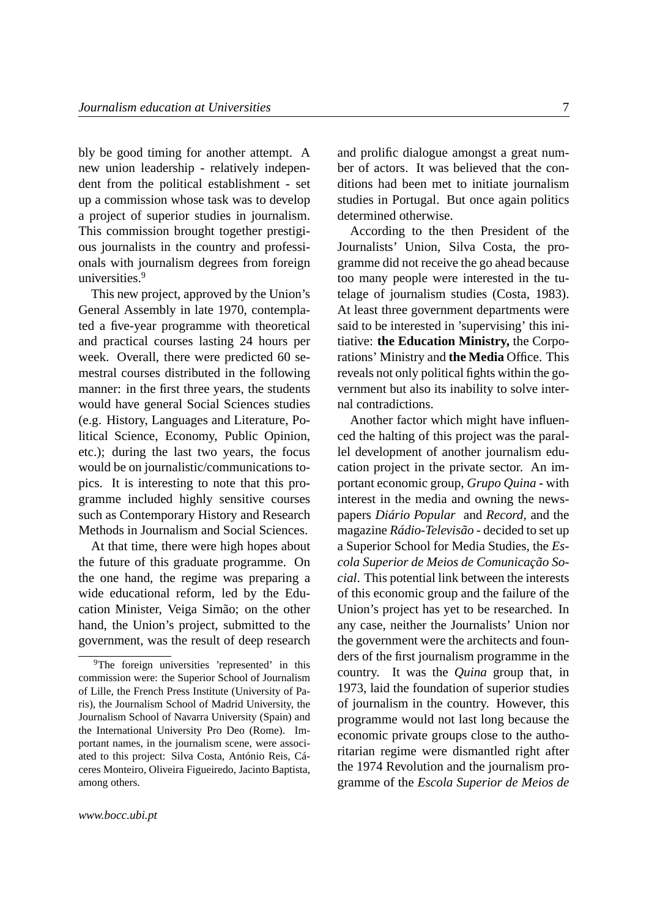bly be good timing for another attempt. A new union leadership - relatively independent from the political establishment - set up a commission whose task was to develop a project of superior studies in journalism. This commission brought together prestigious journalists in the country and professionals with journalism degrees from foreign universities.<sup>[9](#page-6-0)</sup>

This new project, approved by the Union's General Assembly in late 1970, contemplated a five-year programme with theoretical and practical courses lasting 24 hours per week. Overall, there were predicted 60 semestral courses distributed in the following manner: in the first three years, the students would have general Social Sciences studies (e.g. History, Languages and Literature, Political Science, Economy, Public Opinion, etc.); during the last two years, the focus would be on journalistic/communications topics. It is interesting to note that this programme included highly sensitive courses such as Contemporary History and Research Methods in Journalism and Social Sciences.

At that time, there were high hopes about the future of this graduate programme. On the one hand, the regime was preparing a wide educational reform, led by the Education Minister, Veiga Simão; on the other hand, the Union's project, submitted to the government, was the result of deep research and prolific dialogue amongst a great number of actors. It was believed that the conditions had been met to initiate journalism studies in Portugal. But once again politics determined otherwise.

According to the then President of the Journalists' Union, Silva Costa, the programme did not receive the go ahead because too many people were interested in the tutelage of journalism studies (Costa, 1983). At least three government departments were said to be interested in 'supervising' this initiative: **the Education Ministry,** the Corporations' Ministry and **the Media** Office. This reveals not only political fights within the government but also its inability to solve internal contradictions.

Another factor which might have influenced the halting of this project was the parallel development of another journalism education project in the private sector. An important economic group, *Grupo Quina* - with interest in the media and owning the newspapers *Diário Popular* and *Record,* and the magazine *Rádio-Televisão* - decided to set up a Superior School for Media Studies, the *Escola Superior de Meios de Comunicação Social*. This potential link between the interests of this economic group and the failure of the Union's project has yet to be researched. In any case, neither the Journalists' Union nor the government were the architects and founders of the first journalism programme in the country. It was the *Quina* group that, in 1973, laid the foundation of superior studies of journalism in the country. However, this programme would not last long because the economic private groups close to the authoritarian regime were dismantled right after the 1974 Revolution and the journalism programme of the *Escola Superior de Meios de*

<span id="page-6-0"></span><sup>&</sup>lt;sup>9</sup>The foreign universities 'represented' in this commission were: the Superior School of Journalism of Lille, the French Press Institute (University of Paris), the Journalism School of Madrid University, the Journalism School of Navarra University (Spain) and the International University Pro Deo (Rome). Important names, in the journalism scene, were associated to this project: Silva Costa, António Reis, Cáceres Monteiro, Oliveira Figueiredo, Jacinto Baptista, among others.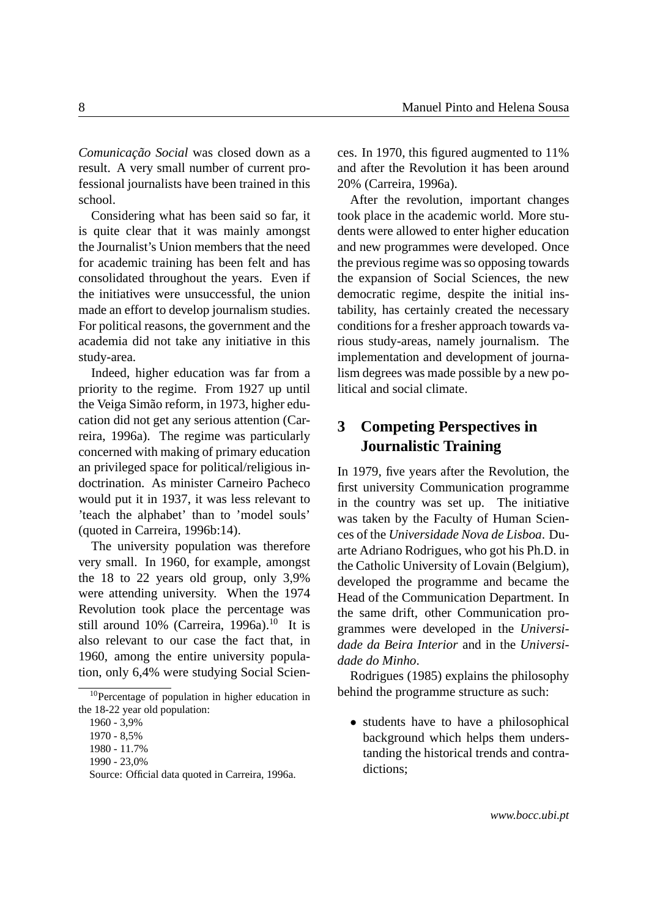*Comunicação Social* was closed down as a result. A very small number of current professional journalists have been trained in this school.

Considering what has been said so far, it is quite clear that it was mainly amongst the Journalist's Union members that the need for academic training has been felt and has consolidated throughout the years. Even if the initiatives were unsuccessful, the union made an effort to develop journalism studies. For political reasons, the government and the academia did not take any initiative in this study-area.

Indeed, higher education was far from a priority to the regime. From 1927 up until the Veiga Simão reform, in 1973, higher education did not get any serious attention (Carreira, 1996a). The regime was particularly concerned with making of primary education an privileged space for political/religious indoctrination. As minister Carneiro Pacheco would put it in 1937, it was less relevant to 'teach the alphabet' than to 'model souls' (quoted in Carreira, 1996b:14).

The university population was therefore very small. In 1960, for example, amongst the 18 to 22 years old group, only 3,9% were attending university. When the 1974 Revolution took place the percentage was still around  $10\%$  $10\%$  (Carreira, 1996a).<sup>10</sup> It is also relevant to our case the fact that, in 1960, among the entire university population, only 6,4% were studying Social Sciences. In 1970, this figured augmented to 11% and after the Revolution it has been around 20% (Carreira, 1996a).

After the revolution, important changes took place in the academic world. More students were allowed to enter higher education and new programmes were developed. Once the previous regime was so opposing towards the expansion of Social Sciences, the new democratic regime, despite the initial instability, has certainly created the necessary conditions for a fresher approach towards various study-areas, namely journalism. The implementation and development of journalism degrees was made possible by a new political and social climate.

# <span id="page-7-0"></span>**3 Competing Perspectives in Journalistic Training**

In 1979, five years after the Revolution, the first university Communication programme in the country was set up. The initiative was taken by the Faculty of Human Sciences of the *Universidade Nova de Lisboa*. Duarte Adriano Rodrigues, who got his Ph.D. in the Catholic University of Lovain (Belgium), developed the programme and became the Head of the Communication Department. In the same drift, other Communication programmes were developed in the *Universidade da Beira Interior* and in the *Universidade do Minho*.

Rodrigues (1985) explains the philosophy behind the programme structure as such:

• students have to have a philosophical background which helps them understanding the historical trends and contradictions;

<span id="page-7-1"></span><sup>10</sup>Percentage of population in higher education in the 18-22 year old population:

<sup>1960 - 3,9%</sup>

<sup>1970 - 8,5%</sup>

<sup>1980 - 11.7%</sup>

<sup>1990 - 23,0%</sup>

Source: Official data quoted in Carreira, 1996a.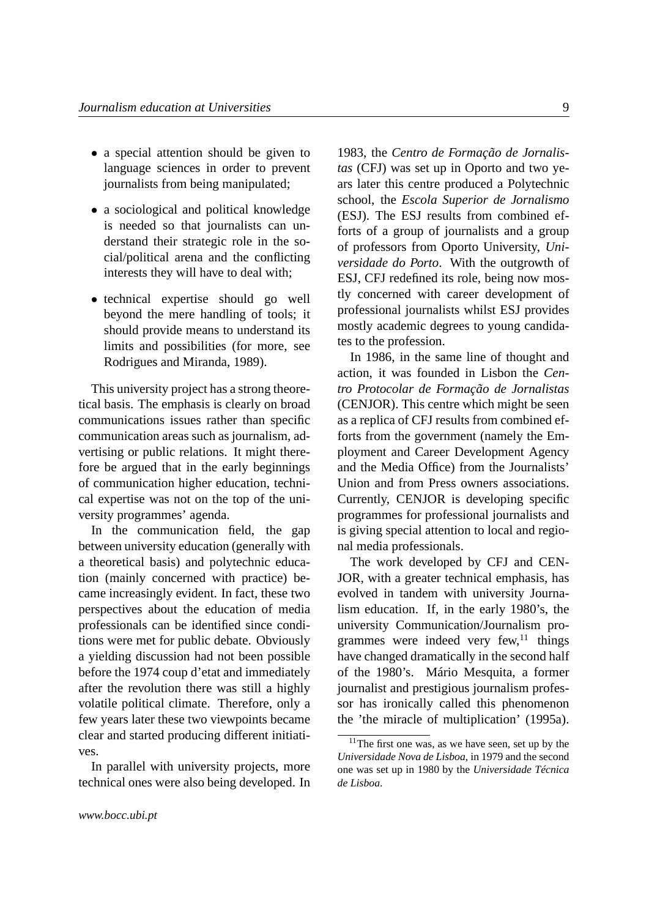- a special attention should be given to language sciences in order to prevent journalists from being manipulated;
- a sociological and political knowledge is needed so that journalists can understand their strategic role in the social/political arena and the conflicting interests they will have to deal with;
- technical expertise should go well beyond the mere handling of tools; it should provide means to understand its limits and possibilities (for more, see Rodrigues and Miranda, 1989).

This university project has a strong theoretical basis. The emphasis is clearly on broad communications issues rather than specific communication areas such as journalism, advertising or public relations. It might therefore be argued that in the early beginnings of communication higher education, technical expertise was not on the top of the university programmes' agenda.

In the communication field, the gap between university education (generally with a theoretical basis) and polytechnic education (mainly concerned with practice) became increasingly evident. In fact, these two perspectives about the education of media professionals can be identified since conditions were met for public debate. Obviously a yielding discussion had not been possible before the 1974 coup d'etat and immediately after the revolution there was still a highly volatile political climate. Therefore, only a few years later these two viewpoints became clear and started producing different initiatives.

In parallel with university projects, more technical ones were also being developed. In

1983, the *Centro de Formação de Jornalistas* (CFJ) was set up in Oporto and two years later this centre produced a Polytechnic school, the *Escola Superior de Jornalismo* (ESJ). The ESJ results from combined efforts of a group of journalists and a group of professors from Oporto University, *Universidade do Porto*. With the outgrowth of ESJ, CFJ redefined its role, being now mostly concerned with career development of professional journalists whilst ESJ provides mostly academic degrees to young candidates to the profession.

In 1986, in the same line of thought and action, it was founded in Lisbon the *Centro Protocolar de Formação de Jornalistas* (CENJOR). This centre which might be seen as a replica of CFJ results from combined efforts from the government (namely the Employment and Career Development Agency and the Media Office) from the Journalists' Union and from Press owners associations. Currently, CENJOR is developing specific programmes for professional journalists and is giving special attention to local and regional media professionals.

The work developed by CFJ and CEN-JOR, with a greater technical emphasis, has evolved in tandem with university Journalism education. If, in the early 1980's, the university Communication/Journalism programmes were indeed very  $f_{\text{ew}}^{11}$  $f_{\text{ew}}^{11}$  $f_{\text{ew}}^{11}$  things have changed dramatically in the second half of the 1980's. Mário Mesquita, a former journalist and prestigious journalism professor has ironically called this phenomenon the 'the miracle of multiplication' (1995a).

<span id="page-8-0"></span> $11$ The first one was, as we have seen, set up by the *Universidade Nova de Lisboa*, in 1979 and the second one was set up in 1980 by the *Universidade Técnica de Lisboa*.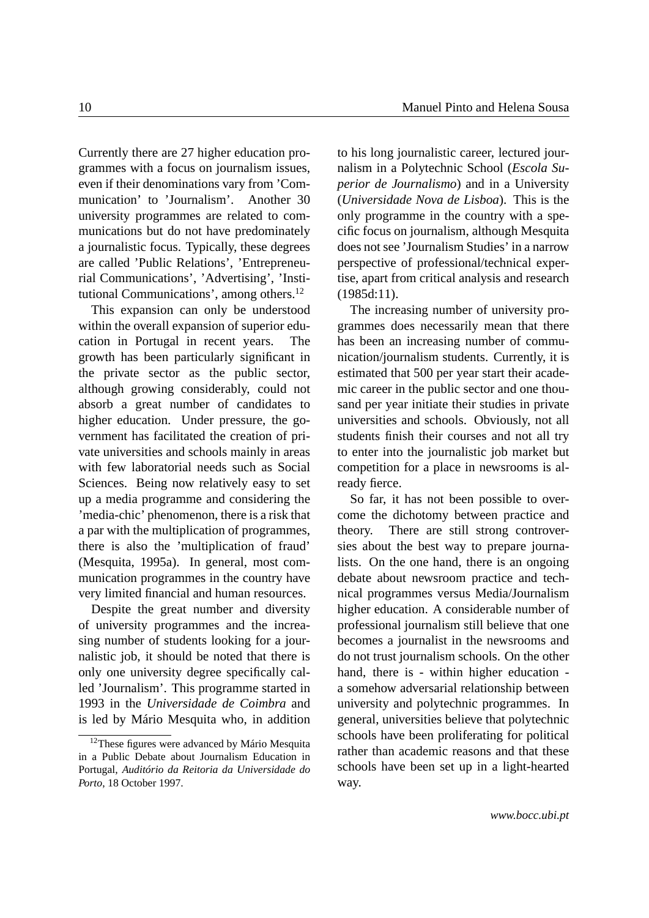Currently there are 27 higher education programmes with a focus on journalism issues, even if their denominations vary from 'Communication' to 'Journalism'. Another 30 university programmes are related to communications but do not have predominately a journalistic focus. Typically, these degrees are called 'Public Relations', 'Entrepreneurial Communications', 'Advertising', 'Institutional Communications', among others.[12](#page-9-0)

This expansion can only be understood within the overall expansion of superior education in Portugal in recent years. The growth has been particularly significant in the private sector as the public sector, although growing considerably, could not absorb a great number of candidates to higher education. Under pressure, the government has facilitated the creation of private universities and schools mainly in areas with few laboratorial needs such as Social Sciences. Being now relatively easy to set up a media programme and considering the 'media-chic' phenomenon, there is a risk that a par with the multiplication of programmes, there is also the 'multiplication of fraud' (Mesquita, 1995a). In general, most communication programmes in the country have very limited financial and human resources.

Despite the great number and diversity of university programmes and the increasing number of students looking for a journalistic job, it should be noted that there is only one university degree specifically called 'Journalism'. This programme started in 1993 in the *Universidade de Coimbra* and is led by Mário Mesquita who, in addition

to his long journalistic career, lectured journalism in a Polytechnic School (*Escola Superior de Journalismo*) and in a University (*Universidade Nova de Lisboa*). This is the only programme in the country with a specific focus on journalism, although Mesquita does not see 'Journalism Studies' in a narrow perspective of professional/technical expertise, apart from critical analysis and research (1985d:11).

The increasing number of university programmes does necessarily mean that there has been an increasing number of communication/journalism students. Currently, it is estimated that 500 per year start their academic career in the public sector and one thousand per year initiate their studies in private universities and schools. Obviously, not all students finish their courses and not all try to enter into the journalistic job market but competition for a place in newsrooms is already fierce.

So far, it has not been possible to overcome the dichotomy between practice and theory. There are still strong controversies about the best way to prepare journalists. On the one hand, there is an ongoing debate about newsroom practice and technical programmes versus Media/Journalism higher education. A considerable number of professional journalism still believe that one becomes a journalist in the newsrooms and do not trust journalism schools. On the other hand, there is - within higher education a somehow adversarial relationship between university and polytechnic programmes. In general, universities believe that polytechnic schools have been proliferating for political rather than academic reasons and that these schools have been set up in a light-hearted way.

<span id="page-9-0"></span> $12$ These figures were advanced by Mário Mesquita in a Public Debate about Journalism Education in Portugal, *Auditório da Reitoria da Universidade do Porto*, 18 October 1997.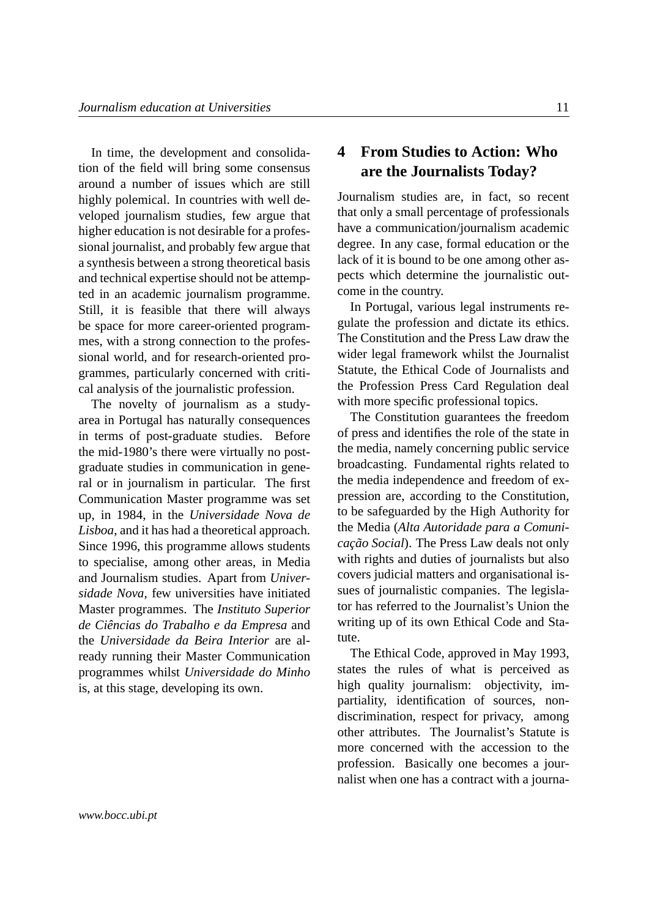In time, the development and consolidation of the field will bring some consensus around a number of issues which are still highly polemical. In countries with well developed journalism studies, few argue that higher education is not desirable for a professional journalist, and probably few argue that a synthesis between a strong theoretical basis and technical expertise should not be attempted in an academic journalism programme. Still, it is feasible that there will always be space for more career-oriented programmes, with a strong connection to the professional world, and for research-oriented programmes, particularly concerned with critical analysis of the journalistic profession.

The novelty of journalism as a studyarea in Portugal has naturally consequences in terms of post-graduate studies. Before the mid-1980's there were virtually no postgraduate studies in communication in general or in journalism in particular. The first Communication Master programme was set up, in 1984, in the *Universidade Nova de Lisboa*, and it has had a theoretical approach. Since 1996, this programme allows students to specialise, among other areas, in Media and Journalism studies. Apart from *Universidade Nova*, few universities have initiated Master programmes. The *Instituto Superior de Ciências do Trabalho e da Empresa* and the *Universidade da Beira Interior* are already running their Master Communication programmes whilst *Universidade do Minho* is, at this stage, developing its own.

## **4 From Studies to Action: Who are the Journalists Today?**

Journalism studies are, in fact, so recent that only a small percentage of professionals have a communication/journalism academic degree. In any case, formal education or the lack of it is bound to be one among other aspects which determine the journalistic outcome in the country.

In Portugal, various legal instruments regulate the profession and dictate its ethics. The Constitution and the Press Law draw the wider legal framework whilst the Journalist Statute, the Ethical Code of Journalists and the Profession Press Card Regulation deal with more specific professional topics.

The Constitution guarantees the freedom of press and identifies the role of the state in the media, namely concerning public service broadcasting. Fundamental rights related to the media independence and freedom of expression are, according to the Constitution, to be safeguarded by the High Authority for the Media (*Alta Autoridade para a Comunicação Social*). The Press Law deals not only with rights and duties of journalists but also covers judicial matters and organisational issues of journalistic companies. The legislator has referred to the Journalist's Union the writing up of its own Ethical Code and Statute.

<span id="page-10-0"></span>The Ethical Code, approved in May 1993, states the rules of what is perceived as high quality journalism: objectivity, impartiality, identification of sources, nondiscrimination, respect for privacy, among other attributes. The Journalist's Statute is more concerned with the accession to the profession. Basically one becomes a journalist when one has a contract with a journa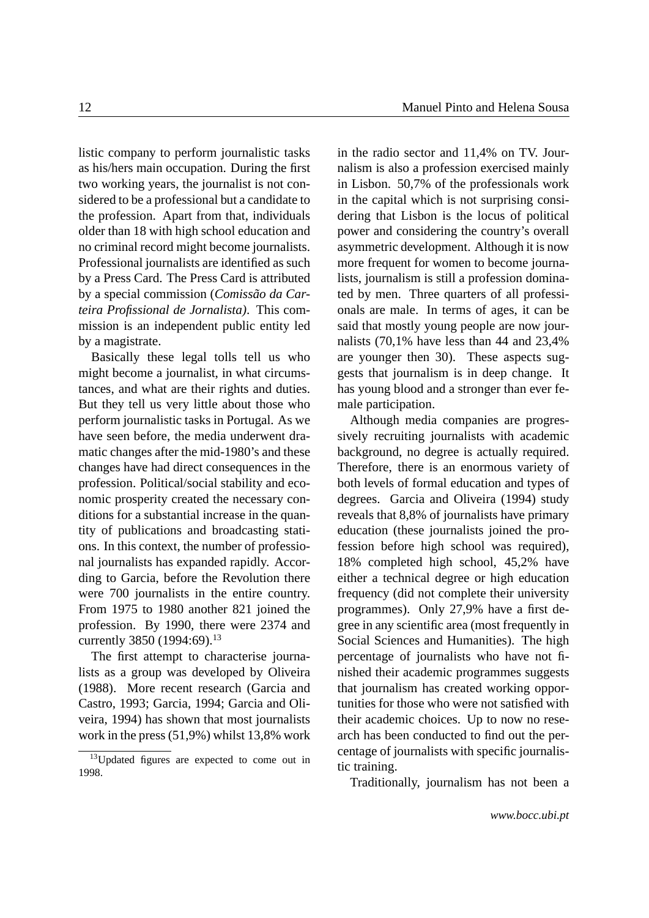listic company to perform journalistic tasks as his/hers main occupation. During the first two working years, the journalist is not considered to be a professional but a candidate to the profession. Apart from that, individuals older than 18 with high school education and no criminal record might become journalists. Professional journalists are identified as such by a Press Card. The Press Card is attributed by a special commission (*Comissão da Carteira Profissional de Jornalista)*. This commission is an independent public entity led by a magistrate.

Basically these legal tolls tell us who might become a journalist, in what circumstances, and what are their rights and duties. But they tell us very little about those who perform journalistic tasks in Portugal. As we have seen before, the media underwent dramatic changes after the mid-1980's and these changes have had direct consequences in the profession. Political/social stability and economic prosperity created the necessary conditions for a substantial increase in the quantity of publications and broadcasting stations. In this context, the number of professional journalists has expanded rapidly. According to Garcia, before the Revolution there were 700 journalists in the entire country. From 1975 to 1980 another 821 joined the profession. By 1990, there were 2374 and currently 3850 (1994:69).<sup>[13](#page-11-0)</sup>

The first attempt to characterise journalists as a group was developed by Oliveira (1988). More recent research (Garcia and Castro, 1993; Garcia, 1994; Garcia and Oliveira, 1994) has shown that most journalists work in the press (51,9%) whilst 13,8% work in the radio sector and 11,4% on TV. Journalism is also a profession exercised mainly in Lisbon. 50,7% of the professionals work in the capital which is not surprising considering that Lisbon is the locus of political power and considering the country's overall asymmetric development. Although it is now more frequent for women to become journalists, journalism is still a profession dominated by men. Three quarters of all professionals are male. In terms of ages, it can be said that mostly young people are now journalists (70,1% have less than 44 and 23,4% are younger then 30). These aspects suggests that journalism is in deep change. It has young blood and a stronger than ever female participation.

Although media companies are progressively recruiting journalists with academic background, no degree is actually required. Therefore, there is an enormous variety of both levels of formal education and types of degrees. Garcia and Oliveira (1994) study reveals that 8,8% of journalists have primary education (these journalists joined the profession before high school was required), 18% completed high school, 45,2% have either a technical degree or high education frequency (did not complete their university programmes). Only 27,9% have a first degree in any scientific area (most frequently in Social Sciences and Humanities). The high percentage of journalists who have not finished their academic programmes suggests that journalism has created working opportunities for those who were not satisfied with their academic choices. Up to now no research has been conducted to find out the percentage of journalists with specific journalistic training.

Traditionally, journalism has not been a

<span id="page-11-0"></span><sup>&</sup>lt;sup>13</sup>Updated figures are expected to come out in 1998.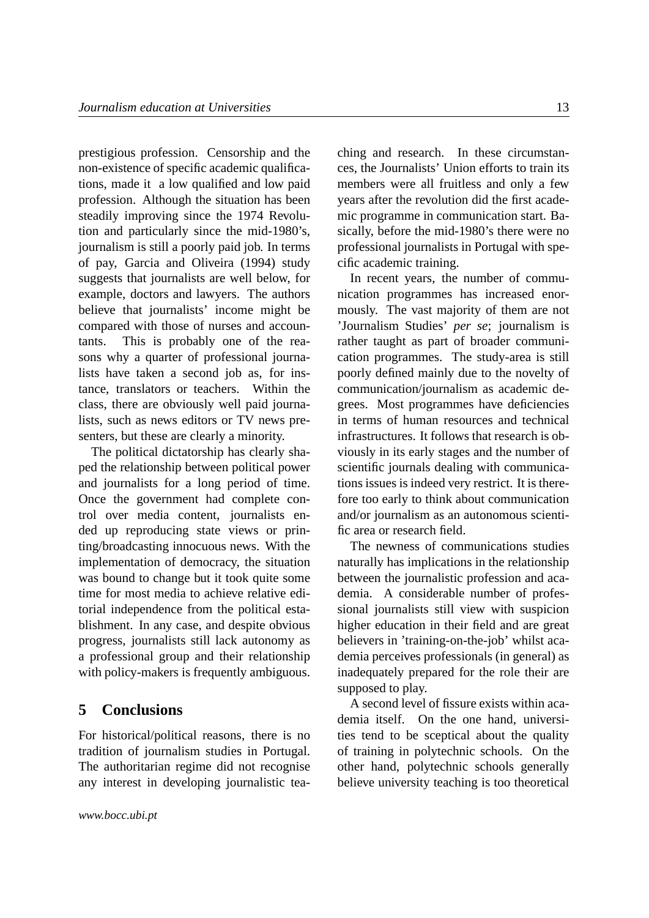prestigious profession. Censorship and the non-existence of specific academic qualifications, made it a low qualified and low paid profession. Although the situation has been steadily improving since the 1974 Revolution and particularly since the mid-1980's, journalism is still a poorly paid job. In terms of pay, Garcia and Oliveira (1994) study suggests that journalists are well below, for example, doctors and lawyers. The authors believe that journalists' income might be compared with those of nurses and accountants. This is probably one of the reasons why a quarter of professional journalists have taken a second job as, for instance, translators or teachers. Within the class, there are obviously well paid journalists, such as news editors or TV news presenters, but these are clearly a minority.

The political dictatorship has clearly shaped the relationship between political power and journalists for a long period of time. Once the government had complete control over media content, journalists ended up reproducing state views or printing/broadcasting innocuous news. With the implementation of democracy, the situation was bound to change but it took quite some time for most media to achieve relative editorial independence from the political establishment. In any case, and despite obvious progress, journalists still lack autonomy as a professional group and their relationship with policy-makers is frequently ambiguous.

## <span id="page-12-0"></span>**5 Conclusions**

For historical/political reasons, there is no tradition of journalism studies in Portugal. The authoritarian regime did not recognise any interest in developing journalistic tea-

ching and research. In these circumstances, the Journalists' Union efforts to train its members were all fruitless and only a few years after the revolution did the first academic programme in communication start. Basically, before the mid-1980's there were no professional journalists in Portugal with specific academic training.

In recent years, the number of communication programmes has increased enormously. The vast majority of them are not 'Journalism Studies' *per se*; journalism is rather taught as part of broader communication programmes. The study-area is still poorly defined mainly due to the novelty of communication/journalism as academic degrees. Most programmes have deficiencies in terms of human resources and technical infrastructures. It follows that research is obviously in its early stages and the number of scientific journals dealing with communications issues is indeed very restrict. It is therefore too early to think about communication and/or journalism as an autonomous scientific area or research field.

The newness of communications studies naturally has implications in the relationship between the journalistic profession and academia. A considerable number of professional journalists still view with suspicion higher education in their field and are great believers in 'training-on-the-job' whilst academia perceives professionals (in general) as inadequately prepared for the role their are supposed to play.

A second level of fissure exists within academia itself. On the one hand, universities tend to be sceptical about the quality of training in polytechnic schools. On the other hand, polytechnic schools generally believe university teaching is too theoretical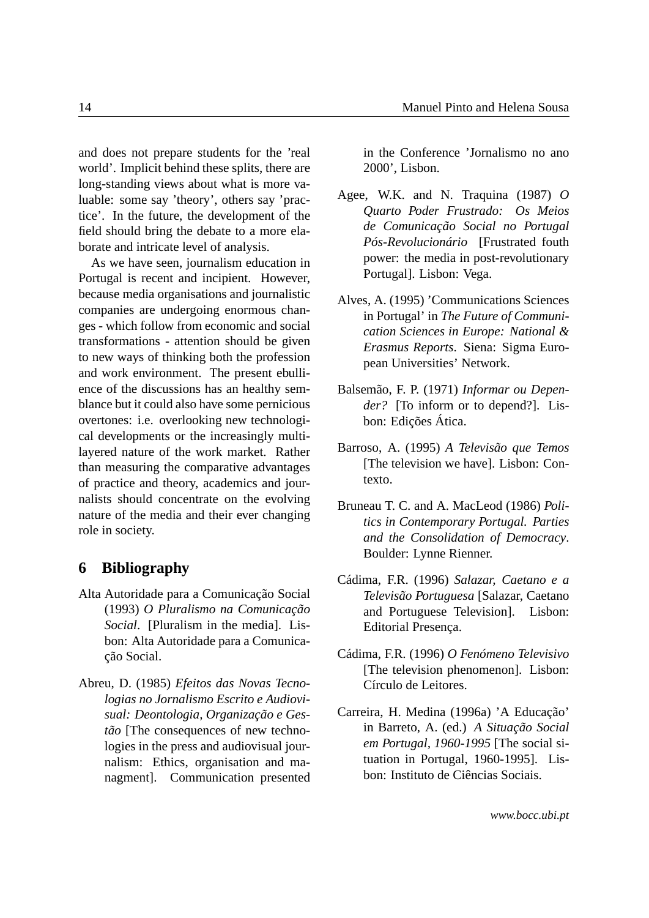and does not prepare students for the 'real world'. Implicit behind these splits, there are long-standing views about what is more valuable: some say 'theory', others say 'practice'. In the future, the development of the field should bring the debate to a more elaborate and intricate level of analysis.

As we have seen, journalism education in Portugal is recent and incipient. However, because media organisations and journalistic companies are undergoing enormous changes - which follow from economic and social transformations - attention should be given to new ways of thinking both the profession and work environment. The present ebullience of the discussions has an healthy semblance but it could also have some pernicious overtones: i.e. overlooking new technological developments or the increasingly multilayered nature of the work market. Rather than measuring the comparative advantages of practice and theory, academics and journalists should concentrate on the evolving nature of the media and their ever changing role in society.

#### <span id="page-13-0"></span>**6 Bibliography**

- Alta Autoridade para a Comunicação Social (1993) *O Pluralismo na Comunicação Social*. [Pluralism in the media]. Lisbon: Alta Autoridade para a Comunicação Social.
- Abreu, D. (1985) *Efeitos das Novas Tecnologias no Jornalismo Escrito e Audiovisual: Deontologia, Organização e Gestão* [The consequences of new technologies in the press and audiovisual journalism: Ethics, organisation and managment]. Communication presented

in the Conference 'Jornalismo no ano 2000', Lisbon.

- Agee, W.K. and N. Traquina (1987) *O Quarto Poder Frustrado: Os Meios de Comunicação Social no Portugal Pós-Revolucionário* [Frustrated fouth power: the media in post-revolutionary Portugal]. Lisbon: Vega.
- Alves, A. (1995) 'Communications Sciences in Portugal' in *The Future of Communication Sciences in Europe: National & Erasmus Reports*. Siena: Sigma European Universities' Network.
- Balsemão, F. P. (1971) *Informar ou Depender?* [To inform or to depend?]. Lisbon: Edições Ática.
- Barroso, A. (1995) *A Televisão que Temos* [The television we have]. Lisbon: Contexto.
- Bruneau T. C. and A. MacLeod (1986) *Politics in Contemporary Portugal. Parties and the Consolidation of Democracy*. Boulder: Lynne Rienner.
- Cádima, F.R. (1996) *Salazar, Caetano e a Televisão Portuguesa* [Salazar, Caetano and Portuguese Television]. Lisbon: Editorial Presença.
- Cádima, F.R. (1996) *O Fenómeno Televisivo* [The television phenomenon]. Lisbon: Círculo de Leitores.
- Carreira, H. Medina (1996a) 'A Educação' in Barreto, A. (ed.) *A Situação Social em Portugal, 1960-1995* [The social situation in Portugal, 1960-1995]. Lisbon: Instituto de Ciências Sociais.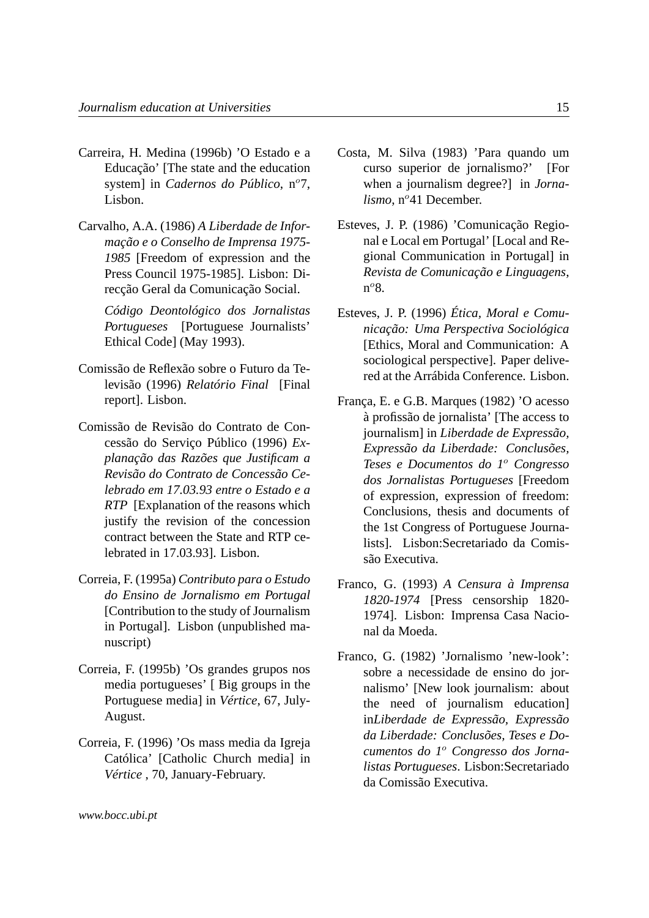- Carreira, H. Medina (1996b) 'O Estado e a Educação' [The state and the education system] in *Cadernos do Público*, n<sup>o</sup>7, Lisbon.
- Carvalho, A.A. (1986) *A Liberdade de Informação e o Conselho de Imprensa 1975- 1985* [Freedom of expression and the Press Council 1975-1985]. Lisbon: Direcção Geral da Comunicação Social.

*Código Deontológico dos Jornalistas Portugueses* [Portuguese Journalists' Ethical Code] (May 1993).

- Comissão de Reflexão sobre o Futuro da Televisão (1996) *Relatório Final* [Final report]. Lisbon.
- Comissão de Revisão do Contrato de Concessão do Serviço Público (1996) *Explanação das Razões que Justificam a Revisão do Contrato de Concessão Celebrado em 17.03.93 entre o Estado e a RTP* [Explanation of the reasons which justify the revision of the concession contract between the State and RTP celebrated in 17.03.93]. Lisbon.
- Correia, F. (1995a) *Contributo para o Estudo do Ensino de Jornalismo em Portugal* [Contribution to the study of Journalism in Portugal]. Lisbon (unpublished manuscript)
- Correia, F. (1995b) 'Os grandes grupos nos media portugueses' [ Big groups in the Portuguese media] in *Vértice*, 67, July-August.
- Correia, F. (1996) 'Os mass media da Igreja Católica' [Catholic Church media] in *Vértice* , 70, January-February.
- Costa, M. Silva (1983) 'Para quando um curso superior de jornalismo?' [For when a journalism degree?] in *Jornalismo*, n°41 December.
- Esteves, J. P. (1986) 'Comunicação Regional e Local em Portugal' [Local and Regional Communication in Portugal] in *Revista de Comunicação e Linguagens*, n<sup>o</sup>8.
- Esteves, J. P. (1996) *Ética, Moral e Comunicação: Uma Perspectiva Sociológica* [Ethics, Moral and Communication: A sociological perspective]. Paper delivered at the Arrábida Conference. Lisbon.
- França, E. e G.B. Marques (1982) 'O acesso à profissão de jornalista' [The access to journalism] in *Liberdade de Expressão, Expressão da Liberdade: Conclusões, Teses e Documentos do 1*<sup>o</sup> *Congresso dos Jornalistas Portugueses* [Freedom of expression, expression of freedom: Conclusions, thesis and documents of the 1st Congress of Portuguese Journalists]. Lisbon:Secretariado da Comissão Executiva.
- Franco, G. (1993) *A Censura à Imprensa 1820-1974* [Press censorship 1820- 1974]. Lisbon: Imprensa Casa Nacional da Moeda.
- Franco, G. (1982) 'Jornalismo 'new-look': sobre a necessidade de ensino do jornalismo' [New look journalism: about the need of journalism education] in*Liberdade de Expressão, Expressão da Liberdade: Conclusões, Teses e Documentos do 1*<sup>o</sup> *Congresso dos Jornalistas Portugueses*. Lisbon:Secretariado da Comissão Executiva.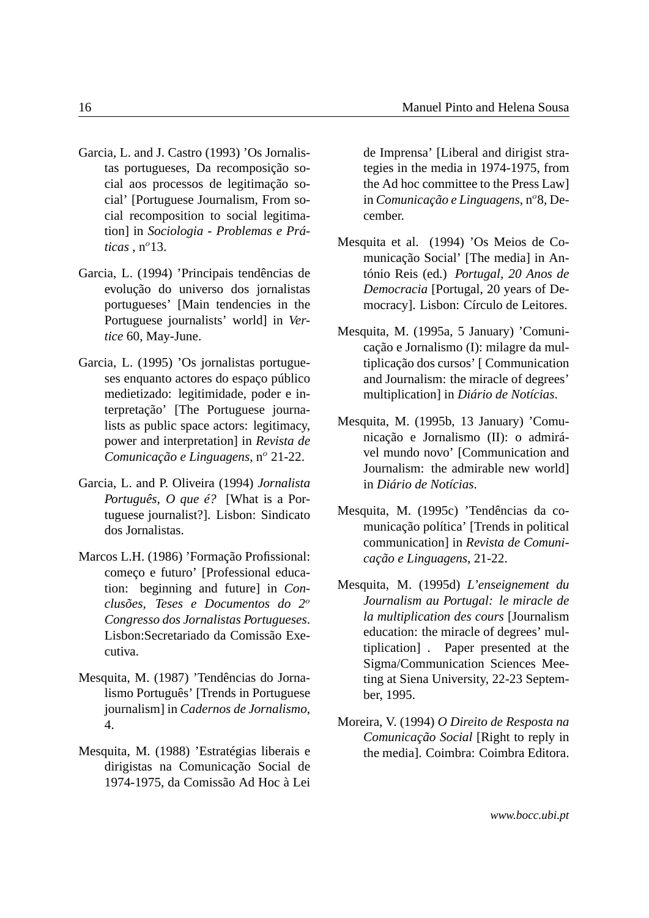- Garcia, L. and J. Castro (1993) 'Os Jornalistas portugueses, Da recomposição social aos processos de legitimação social' [Portuguese Journalism, From social recomposition to social legitimation] in *Sociologia - Problemas e Prá* $ticas \cdot n^{\circ}13$ .
- Garcia, L. (1994) 'Principais tendências de evolução do universo dos jornalistas portugueses' [Main tendencies in the Portuguese journalists' world] in *Vertice* 60, May-June.
- Garcia, L. (1995) 'Os jornalistas portugueses enquanto actores do espaço público medietizado: legitimidade, poder e interpretação' [The Portuguese journalists as public space actors: legitimacy, power and interpretation] in *Revista de Comunicação e Linguagens*, nº 21-22.
- Garcia, L. and P. Oliveira (1994) *Jornalista Português, O que é?* [What is a Portuguese journalist?]. Lisbon: Sindicato dos Jornalistas.
- Marcos L.H. (1986) 'Formação Profissional: começo e futuro' [Professional education: beginning and future] in *Conclusões, Teses e Documentos do 2*<sup>o</sup> *Congresso dos Jornalistas Portugueses*. Lisbon:Secretariado da Comissão Executiva.
- Mesquita, M. (1987) 'Tendências do Jornalismo Português' [Trends in Portuguese journalism] in *Cadernos de Jornalismo*, 4.
- Mesquita, M. (1988) 'Estratégias liberais e dirigistas na Comunicação Social de 1974-1975, da Comissão Ad Hoc à Lei

de Imprensa' [Liberal and dirigist strategies in the media in 1974-1975, from the Ad hoc committee to the Press Law] in *Comunicação e Linguagens*, n<sup>o</sup>8, December.

- Mesquita et al. (1994) 'Os Meios de Comunicação Social' [The media] in António Reis (ed.) *Portugal, 20 Anos de Democracia* [Portugal, 20 years of Democracy]. Lisbon: Círculo de Leitores.
- Mesquita, M. (1995a, 5 January) 'Comunicação e Jornalismo (I): milagre da multiplicação dos cursos' [ Communication and Journalism: the miracle of degrees' multiplication] in *Diário de Notícias*.
- Mesquita, M. (1995b, 13 January) 'Comunicação e Jornalismo (II): o admirável mundo novo' [Communication and Journalism: the admirable new world] in *Diário de Notícias*.
- Mesquita, M. (1995c) 'Tendências da comunicação política' [Trends in political communication] in *Revista de Comunicação e Linguagens*, 21-22.
- Mesquita, M. (1995d) *L'enseignement du Journalism au Portugal: le miracle de la multiplication des cours* [Journalism education: the miracle of degrees' multiplication] . Paper presented at the Sigma/Communication Sciences Meeting at Siena University, 22-23 September, 1995.
- Moreira, V. (1994) *O Direito de Resposta na Comunicação Social* [Right to reply in the media]. Coimbra: Coimbra Editora.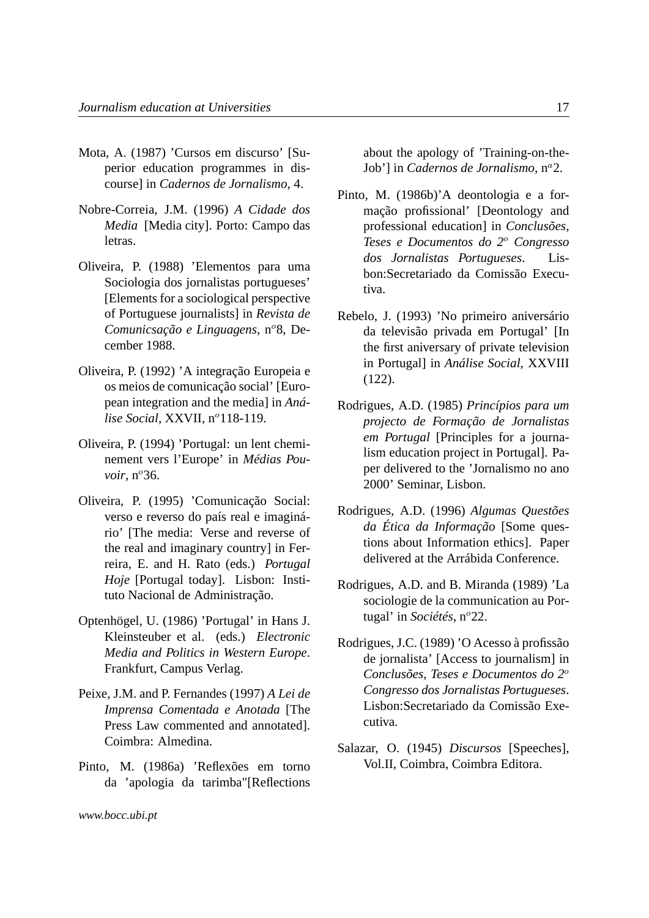- Mota, A. (1987) 'Cursos em discurso' [Superior education programmes in discourse] in *Cadernos de Jornalismo*, 4.
- Nobre-Correia, J.M. (1996) *A Cidade dos Media* [Media city]. Porto: Campo das letras.
- Oliveira, P. (1988) 'Elementos para uma Sociologia dos jornalistas portugueses' [Elements for a sociological perspective of Portuguese journalists] in *Revista de Comunicsação e Linguagens*, nº8, December 1988.
- Oliveira, P. (1992) 'A integração Europeia e os meios de comunicação social' [European integration and the media] in *Análise Social*, XXVII, nº118-119.
- Oliveira, P. (1994) 'Portugal: un lent cheminement vers l'Europe' in *Médias Pouvoir*, n°36.
- Oliveira, P. (1995) 'Comunicação Social: verso e reverso do país real e imaginário' [The media: Verse and reverse of the real and imaginary country] in Ferreira, E. and H. Rato (eds.) *Portugal Hoje* [Portugal today]. Lisbon: Instituto Nacional de Administração.
- Optenhögel, U. (1986) 'Portugal' in Hans J. Kleinsteuber et al. (eds.) *Electronic Media and Politics in Western Europe*. Frankfurt, Campus Verlag.
- Peixe, J.M. and P. Fernandes (1997) *A Lei de Imprensa Comentada e Anotada* [The Press Law commented and annotated]. Coimbra: Almedina.
- Pinto, M. (1986a) 'Reflexões em torno da 'apologia da tarimba"[Reflections

about the apology of 'Training-on-the-Job'] in *Cadernos de Jornalismo*,  $n^a$ 2.

- Pinto, M. (1986b)'A deontologia e a formação profissional' [Deontology and professional education] in *Conclusões, Teses e Documentos do 2*<sup>o</sup> *Congresso dos Jornalistas Portugueses*. Lisbon:Secretariado da Comissão Executiva.
- Rebelo, J. (1993) 'No primeiro aniversário da televisão privada em Portugal' [In the first aniversary of private television in Portugal] in *Análise Social*, XXVIII (122).
- Rodrigues, A.D. (1985) *Princípios para um projecto de Formação de Jornalistas em Portugal* [Principles for a journalism education project in Portugal]. Paper delivered to the 'Jornalismo no ano 2000' Seminar, Lisbon.
- Rodrigues, A.D. (1996) *Algumas Questões da Ética da Informação* [Some questions about Information ethics]. Paper delivered at the Arrábida Conference.
- Rodrigues, A.D. and B. Miranda (1989) 'La sociologie de la communication au Portugal' in *Sociétés*, n°22.
- Rodrigues, J.C. (1989) 'O Acesso à profissão de jornalista' [Access to journalism] in *Conclusões, Teses e Documentos do 2*<sup>o</sup> *Congresso dos Jornalistas Portugueses*. Lisbon:Secretariado da Comissão Executiva.
- Salazar, O. (1945) *Discursos* [Speeches], Vol.II, Coimbra, Coimbra Editora.